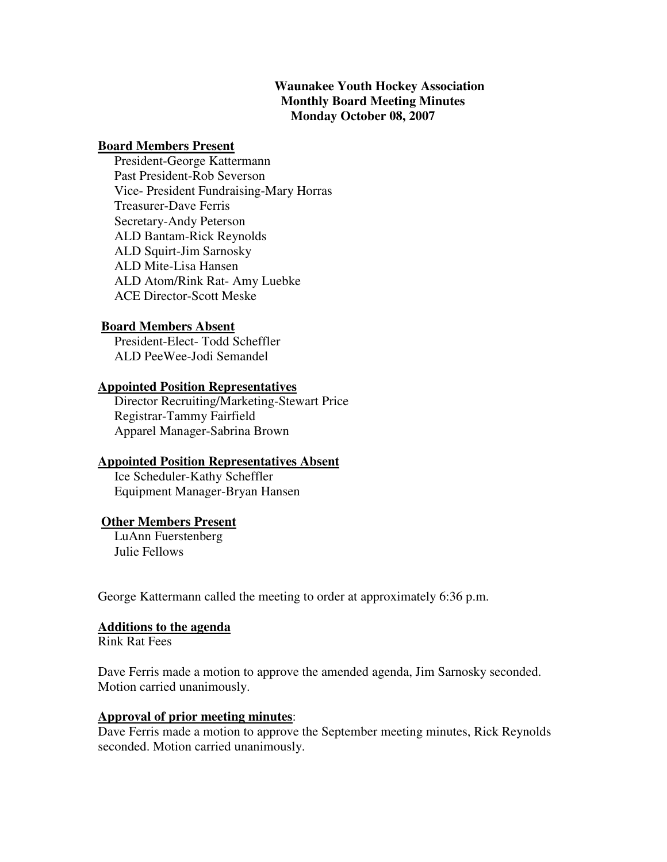# **Waunakee Youth Hockey Association Monthly Board Meeting Minutes Monday October 08, 2007**

### **Board Members Present**

 President-George Kattermann Past President-Rob Severson Vice- President Fundraising-Mary Horras Treasurer-Dave Ferris Secretary-Andy Peterson ALD Bantam-Rick Reynolds ALD Squirt-Jim Sarnosky ALD Mite-Lisa Hansen ALD Atom/Rink Rat- Amy Luebke ACE Director-Scott Meske

### **Board Members Absent**

 President-Elect- Todd Scheffler ALD PeeWee-Jodi Semandel

## **Appointed Position Representatives**

 Director Recruiting/Marketing-Stewart Price Registrar-Tammy Fairfield Apparel Manager-Sabrina Brown

## **Appointed Position Representatives Absent**

 Ice Scheduler-Kathy Scheffler Equipment Manager-Bryan Hansen

## **Other Members Present**

 LuAnn Fuerstenberg Julie Fellows

George Kattermann called the meeting to order at approximately 6:36 p.m.

#### **Additions to the agenda**

Rink Rat Fees

Dave Ferris made a motion to approve the amended agenda, Jim Sarnosky seconded. Motion carried unanimously.

#### **Approval of prior meeting minutes**:

Dave Ferris made a motion to approve the September meeting minutes, Rick Reynolds seconded. Motion carried unanimously.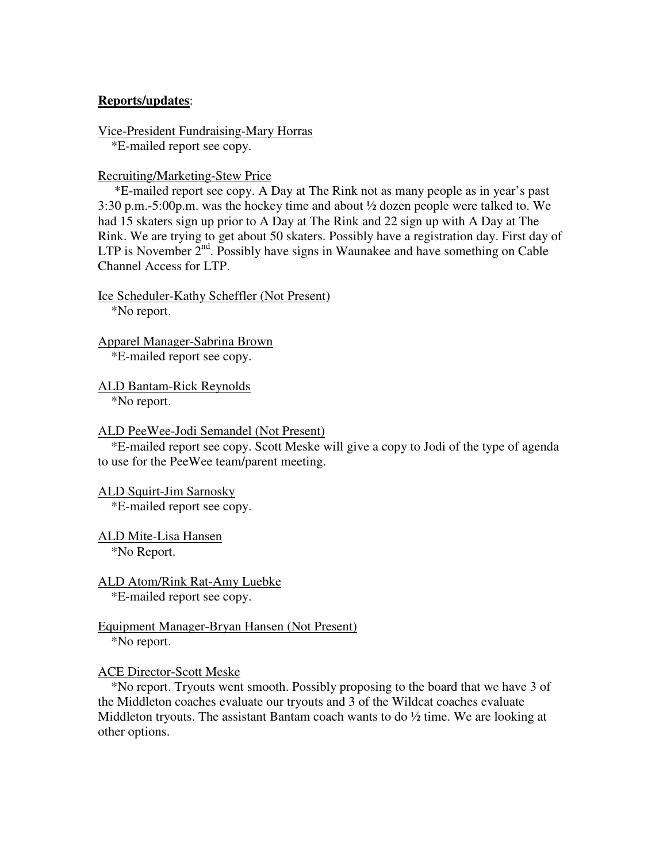### **Reports/updates**:

Vice-President Fundraising-Mary Horras \*E-mailed report see copy.

Recruiting/Marketing-Stew Price

 \*E-mailed report see copy. A Day at The Rink not as many people as in year's past 3:30 p.m.-5:00p.m. was the hockey time and about ½ dozen people were talked to. We had 15 skaters sign up prior to A Day at The Rink and 22 sign up with A Day at The Rink. We are trying to get about 50 skaters. Possibly have a registration day. First day of LTP is November  $2<sup>nd</sup>$ . Possibly have signs in Waunakee and have something on Cable Channel Access for LTP.

Ice Scheduler-Kathy Scheffler (Not Present) \*No report.

Apparel Manager-Sabrina Brown \*E-mailed report see copy.

ALD Bantam-Rick Reynolds \*No report.

ALD PeeWee-Jodi Semandel (Not Present)

 \*E-mailed report see copy. Scott Meske will give a copy to Jodi of the type of agenda to use for the PeeWee team/parent meeting.

ALD Squirt-Jim Sarnosky \*E-mailed report see copy.

ALD Mite-Lisa Hansen \*No Report.

ALD Atom/Rink Rat-Amy Luebke \*E-mailed report see copy.

Equipment Manager-Bryan Hansen (Not Present) \*No report.

#### ACE Director-Scott Meske

 \*No report. Tryouts went smooth. Possibly proposing to the board that we have 3 of the Middleton coaches evaluate our tryouts and 3 of the Wildcat coaches evaluate Middleton tryouts. The assistant Bantam coach wants to do  $\frac{1}{2}$  time. We are looking at other options.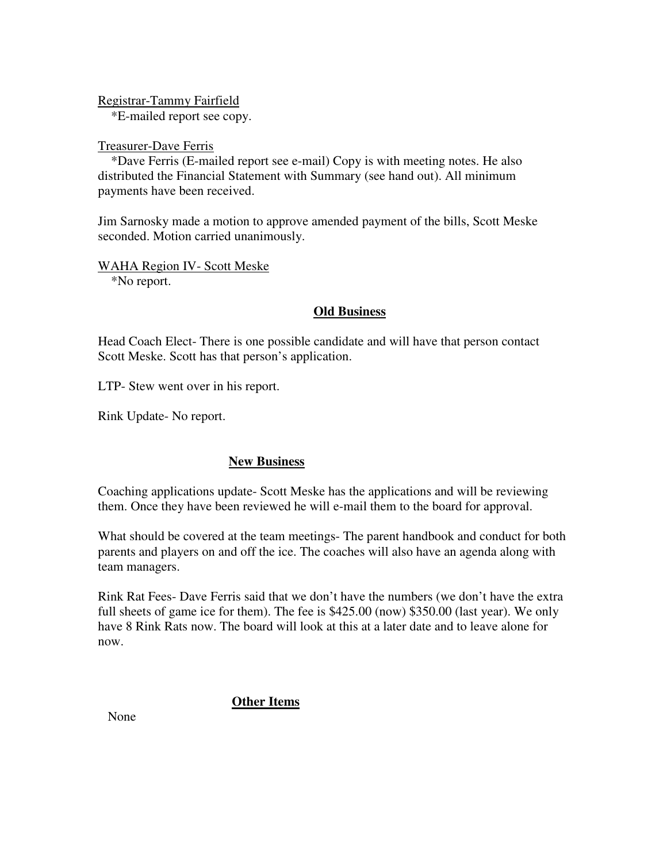Registrar-Tammy Fairfield

\*E-mailed report see copy.

### Treasurer-Dave Ferris

 \*Dave Ferris (E-mailed report see e-mail) Copy is with meeting notes. He also distributed the Financial Statement with Summary (see hand out). All minimum payments have been received.

Jim Sarnosky made a motion to approve amended payment of the bills, Scott Meske seconded. Motion carried unanimously.

WAHA Region IV- Scott Meske \*No report.

# **Old Business**

Head Coach Elect- There is one possible candidate and will have that person contact Scott Meske. Scott has that person's application.

LTP- Stew went over in his report.

Rink Update- No report.

# **New Business**

Coaching applications update- Scott Meske has the applications and will be reviewing them. Once they have been reviewed he will e-mail them to the board for approval.

What should be covered at the team meetings- The parent handbook and conduct for both parents and players on and off the ice. The coaches will also have an agenda along with team managers.

Rink Rat Fees- Dave Ferris said that we don't have the numbers (we don't have the extra full sheets of game ice for them). The fee is \$425.00 (now) \$350.00 (last year). We only have 8 Rink Rats now. The board will look at this at a later date and to leave alone for now.

**Other Items**

None